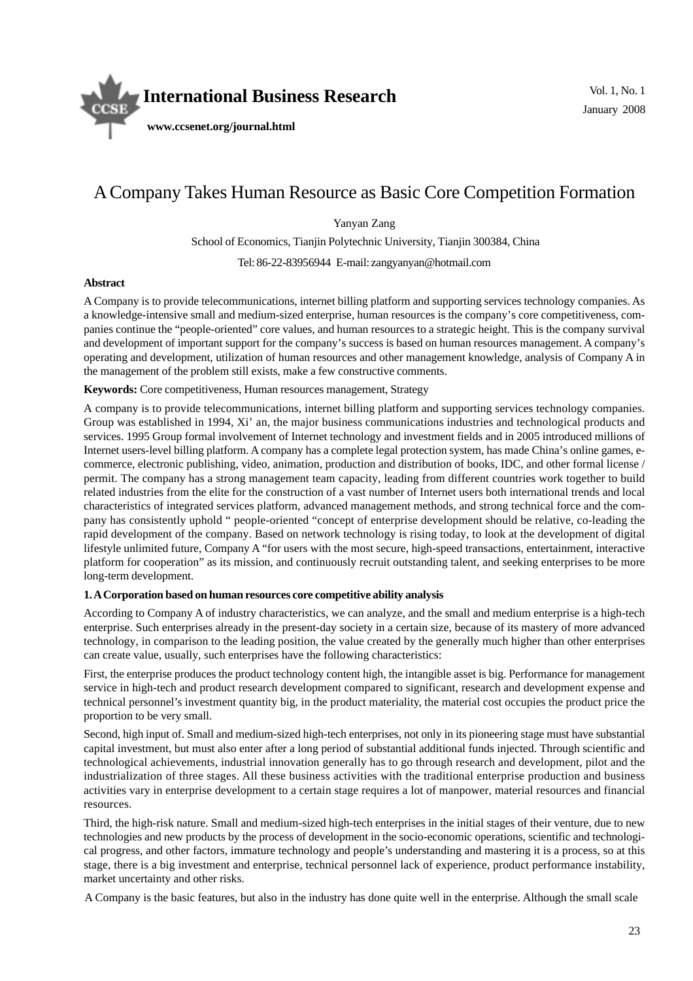

# A Company Takes Human Resource as Basic Core Competition Formation

Yanyan Zang

School of Economics, Tianjin Polytechnic University, Tianjin 300384, China

Tel: 86-22-83956944 E-mail: zangyanyan@hotmail.com

# **Abstract**

A Company is to provide telecommunications, internet billing platform and supporting services technology companies. As a knowledge-intensive small and medium-sized enterprise, human resources is the company's core competitiveness, companies continue the "people-oriented" core values, and human resources to a strategic height. This is the company survival and development of important support for the company's success is based on human resources management. A company's operating and development, utilization of human resources and other management knowledge, analysis of Company A in the management of the problem still exists, make a few constructive comments.

# **Keywords:** Core competitiveness, Human resources management, Strategy

A company is to provide telecommunications, internet billing platform and supporting services technology companies. Group was established in 1994, Xi' an, the major business communications industries and technological products and services. 1995 Group formal involvement of Internet technology and investment fields and in 2005 introduced millions of Internet users-level billing platform. A company has a complete legal protection system, has made China's online games, ecommerce, electronic publishing, video, animation, production and distribution of books, IDC, and other formal license / permit. The company has a strong management team capacity, leading from different countries work together to build related industries from the elite for the construction of a vast number of Internet users both international trends and local characteristics of integrated services platform, advanced management methods, and strong technical force and the company has consistently uphold " people-oriented "concept of enterprise development should be relative, co-leading the rapid development of the company. Based on network technology is rising today, to look at the development of digital lifestyle unlimited future, Company A "for users with the most secure, high-speed transactions, entertainment, interactive platform for cooperation" as its mission, and continuously recruit outstanding talent, and seeking enterprises to be more long-term development.

### **1. A Corporation based on human resources core competitive ability analysis**

According to Company A of industry characteristics, we can analyze, and the small and medium enterprise is a high-tech enterprise. Such enterprises already in the present-day society in a certain size, because of its mastery of more advanced technology, in comparison to the leading position, the value created by the generally much higher than other enterprises can create value, usually, such enterprises have the following characteristics:

First, the enterprise produces the product technology content high, the intangible asset is big. Performance for management service in high-tech and product research development compared to significant, research and development expense and technical personnel's investment quantity big, in the product materiality, the material cost occupies the product price the proportion to be very small.

Second, high input of. Small and medium-sized high-tech enterprises, not only in its pioneering stage must have substantial capital investment, but must also enter after a long period of substantial additional funds injected. Through scientific and technological achievements, industrial innovation generally has to go through research and development, pilot and the industrialization of three stages. All these business activities with the traditional enterprise production and business activities vary in enterprise development to a certain stage requires a lot of manpower, material resources and financial resources.

Third, the high-risk nature. Small and medium-sized high-tech enterprises in the initial stages of their venture, due to new technologies and new products by the process of development in the socio-economic operations, scientific and technological progress, and other factors, immature technology and people's understanding and mastering it is a process, so at this stage, there is a big investment and enterprise, technical personnel lack of experience, product performance instability, market uncertainty and other risks.

A Company is the basic features, but also in the industry has done quite well in the enterprise. Although the small scale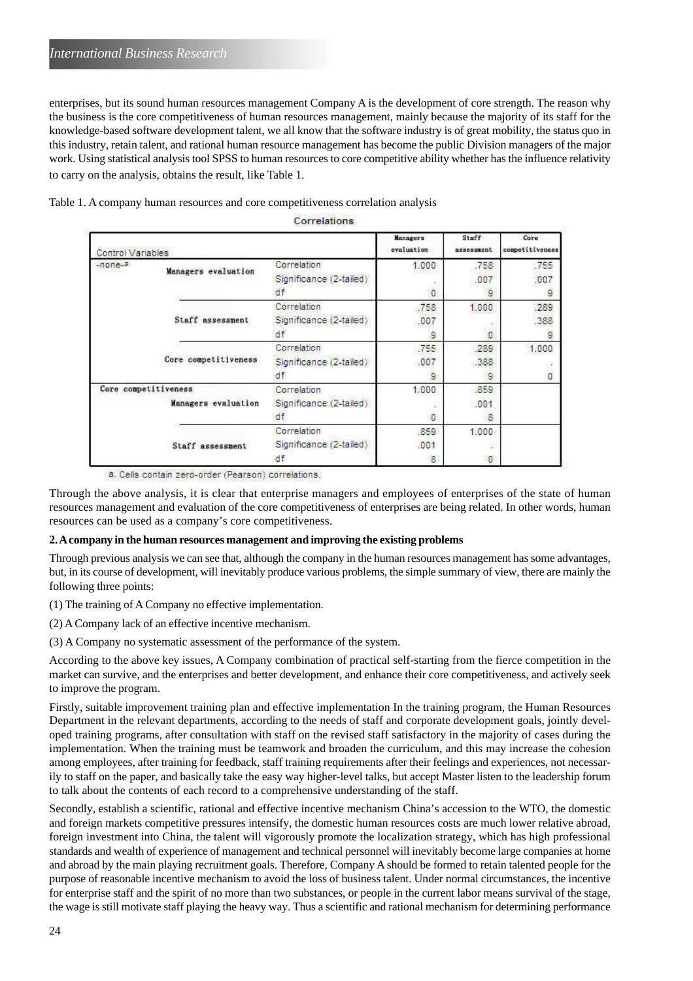enterprises, but its sound human resources management Company A is the development of core strength. The reason why the business is the core competitiveness of human resources management, mainly because the majority of its staff for the knowledge-based software development talent, we all know that the software industry is of great mobility, the status quo in this industry, retain talent, and rational human resource management has become the public Division managers of the major work. Using statistical analysis tool SPSS to human resources to core competitive ability whether has the influence relativity to carry on the analysis, obtains the result, like Table 1.

|  | Table 1. A company human resources and core competitiveness correlation analysis |  |
|--|----------------------------------------------------------------------------------|--|
|  |                                                                                  |  |

Correlations

| Control Variables                                               |                      |                         | Managers<br>evaluation | Staff<br>assessment | Core<br>oompetitiveness |
|-----------------------------------------------------------------|----------------------|-------------------------|------------------------|---------------------|-------------------------|
| -none-a                                                         | Managers evaluation  | Correlation             | 1.000                  | 758                 | .755                    |
|                                                                 |                      | Significance (2-tailed) |                        | .007                | 007                     |
|                                                                 |                      | df                      | $\mathbf{0}$           | 9                   | 9                       |
|                                                                 |                      | Correlation             | 758                    | 1.000               | .289                    |
|                                                                 | Staff assessment     | Significance (2-tailed) | .007                   |                     | .388                    |
|                                                                 |                      | df                      | 9                      | a.                  |                         |
|                                                                 | Core competitiveness | Correlation             | $-755$                 | 289                 | 1.000                   |
|                                                                 |                      | Significance (2-tailed) | $-007$                 | 388                 |                         |
|                                                                 | df                   | 9                       | 9                      | ö                   |                         |
| Core competitiveness<br>Managers evaluation<br>Staff assessment |                      | Correlation             | 1.000                  | -859                |                         |
|                                                                 |                      | Significance (2-tailed) |                        | .001                |                         |
|                                                                 |                      | df                      | $\ddot{\phantom{0}}$   | 8                   |                         |
|                                                                 |                      | Correlation             | .859                   | 1.000               |                         |
|                                                                 |                      | Significance (2-tailed) | $-001$                 | n                   |                         |
|                                                                 |                      | df                      | а                      | o                   |                         |

a. Cells contain zero-order (Pearson) correlations.

Through the above analysis, it is clear that enterprise managers and employees of enterprises of the state of human resources management and evaluation of the core competitiveness of enterprises are being related. In other words, human resources can be used as a company's core competitiveness.

### **2. A company in the human resources management and improving the existing problems**

Through previous analysis we can see that, although the company in the human resources management has some advantages, but, in its course of development, will inevitably produce various problems, the simple summary of view, there are mainly the following three points:

(1) The training of A Company no effective implementation.

(2) A Company lack of an effective incentive mechanism.

(3) A Company no systematic assessment of the performance of the system.

According to the above key issues, A Company combination of practical self-starting from the fierce competition in the market can survive, and the enterprises and better development, and enhance their core competitiveness, and actively seek to improve the program.

Firstly, suitable improvement training plan and effective implementation In the training program, the Human Resources Department in the relevant departments, according to the needs of staff and corporate development goals, jointly developed training programs, after consultation with staff on the revised staff satisfactory in the majority of cases during the implementation. When the training must be teamwork and broaden the curriculum, and this may increase the cohesion among employees, after training for feedback, staff training requirements after their feelings and experiences, not necessarily to staff on the paper, and basically take the easy way higher-level talks, but accept Master listen to the leadership forum to talk about the contents of each record to a comprehensive understanding of the staff.

Secondly, establish a scientific, rational and effective incentive mechanism China's accession to the WTO, the domestic and foreign markets competitive pressures intensify, the domestic human resources costs are much lower relative abroad, foreign investment into China, the talent will vigorously promote the localization strategy, which has high professional standards and wealth of experience of management and technical personnel will inevitably become large companies at home and abroad by the main playing recruitment goals. Therefore, Company A should be formed to retain talented people for the purpose of reasonable incentive mechanism to avoid the loss of business talent. Under normal circumstances, the incentive for enterprise staff and the spirit of no more than two substances, or people in the current labor means survival of the stage, the wage is still motivate staff playing the heavy way. Thus a scientific and rational mechanism for determining performance